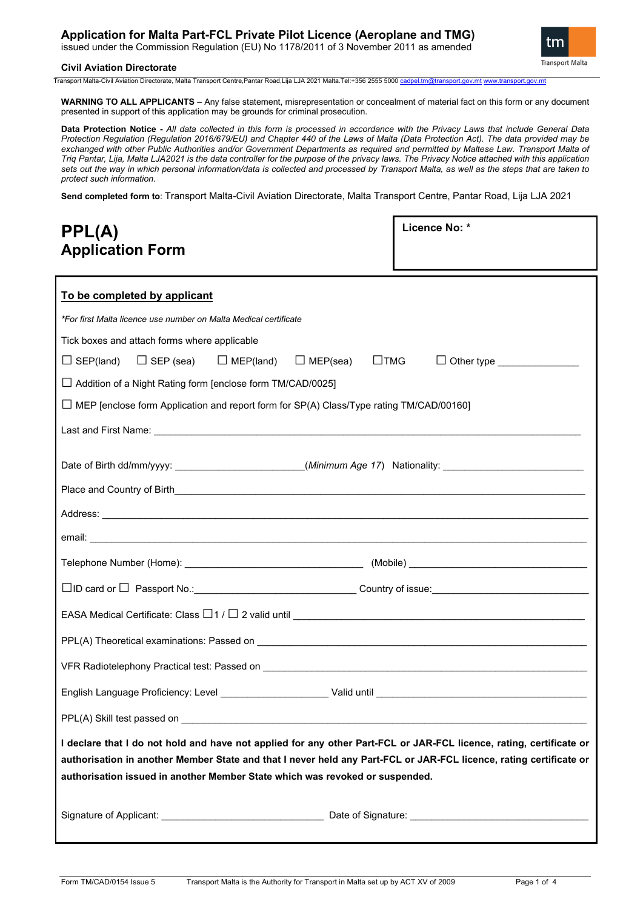# **Application for Malta Part-FCL Private Pilot Licence (Aeroplane and TMG)**

issued under the Commission Regulation (EU) No 1178/2011 of 3 November 2011 as amended

# **Civil Aviation Directorate**

tm **Transport Malta** 

Transport Malta-Civil Aviation Directorate, Malta Transport Centre,Pantar Road,Lija LJA 2021 Malta.Tel:+356 2555 5000 cadpel.tr

**WARNING TO ALL APPLICANTS** – Any false statement, misrepresentation or concealment of material fact on this form or any document presented in support of this application may be grounds for criminal prosecution.

**Data Protection Notice -** *All data collected in this form is processed in accordance with the Privacy Laws that include General Data Protection Regulation (Regulation 2016/679/EU) and Chapter 440 of the Laws of Malta (Data Protection Act). The data provided may be exchanged with other Public Authorities and/or Government Departments as required and permitted by Maltese Law. Transport Malta of Triq Pantar, Lija, Malta LJA2021 is the data controller for the purpose of the privacy laws. The Privacy Notice attached with this application sets out the way in which personal information/data is collected and processed by Transport Malta, as well as the steps that are taken to protect such information.*

**Send completed form to**: Transport Malta-Civil Aviation Directorate, Malta Transport Centre, Pantar Road, Lija LJA 2021

| PPL(A)                                                                                                                                                                                                                                                                                                                    | Licence No: * |  |  |
|---------------------------------------------------------------------------------------------------------------------------------------------------------------------------------------------------------------------------------------------------------------------------------------------------------------------------|---------------|--|--|
| <b>Application Form</b>                                                                                                                                                                                                                                                                                                   |               |  |  |
|                                                                                                                                                                                                                                                                                                                           |               |  |  |
| To be completed by applicant                                                                                                                                                                                                                                                                                              |               |  |  |
| *For first Malta licence use number on Malta Medical certificate                                                                                                                                                                                                                                                          |               |  |  |
| Tick boxes and attach forms where applicable                                                                                                                                                                                                                                                                              |               |  |  |
| $\Box$ MEP(land) $\Box$ MEP(sea) $\Box$ TMG<br>$\Box$ SEP (sea)<br>$\Box$ SEP(land)<br>$\Box$ Other type $\_\_\_\_\_\_\_\_\_\_\_\_\_\_\_\_\_\_$                                                                                                                                                                           |               |  |  |
| $\Box$ Addition of a Night Rating form [enclose form TM/CAD/0025]                                                                                                                                                                                                                                                         |               |  |  |
| $\Box$ MEP [enclose form Application and report form for SP(A) Class/Type rating TM/CAD/00160]                                                                                                                                                                                                                            |               |  |  |
|                                                                                                                                                                                                                                                                                                                           |               |  |  |
|                                                                                                                                                                                                                                                                                                                           |               |  |  |
| Date of Birth dd/mm/yyyy: ______________________(Minimum Age 17) Nationality: ____________________________                                                                                                                                                                                                                |               |  |  |
|                                                                                                                                                                                                                                                                                                                           |               |  |  |
|                                                                                                                                                                                                                                                                                                                           |               |  |  |
|                                                                                                                                                                                                                                                                                                                           |               |  |  |
|                                                                                                                                                                                                                                                                                                                           |               |  |  |
|                                                                                                                                                                                                                                                                                                                           |               |  |  |
| EASA Medical Certificate: Class $\Box$ 1 / $\Box$ 2 valid until $\_\_\_\_\_\_\_\_\_$                                                                                                                                                                                                                                      |               |  |  |
|                                                                                                                                                                                                                                                                                                                           |               |  |  |
|                                                                                                                                                                                                                                                                                                                           |               |  |  |
|                                                                                                                                                                                                                                                                                                                           |               |  |  |
| PPL(A) Skill test passed on <b>the control of the control of the control of the control of the control of the control of the control of the control of the control of the control of the control of the control of the control o</b>                                                                                      |               |  |  |
| I declare that I do not hold and have not applied for any other Part-FCL or JAR-FCL licence, rating, certificate or<br>authorisation in another Member State and that I never held any Part-FCL or JAR-FCL licence, rating certificate or<br>authorisation issued in another Member State which was revoked or suspended. |               |  |  |
|                                                                                                                                                                                                                                                                                                                           |               |  |  |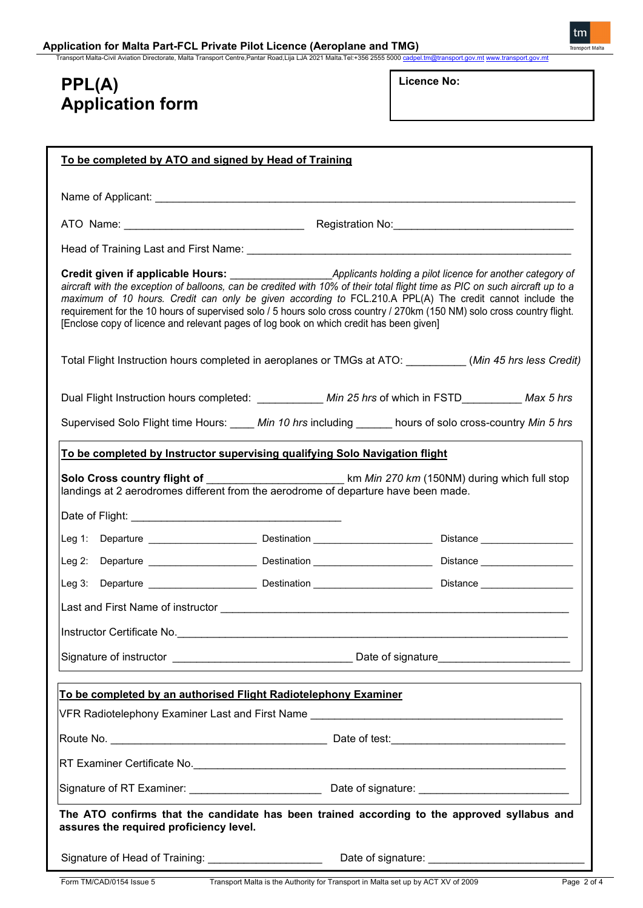Transport Malta-Civil Aviation Directorate, Malta Transport Centre,Pantar Road,Lija LJA 2021 Malta.⊺el:+356 2555 5000 <u>[cadpel.tm@transport.gov.mt](mailto:cadpel.tm@transport.gov.mt)</u> [www.transport.gov.mt](http://www.transport.gov.mt/)

# **PPL(A) Application form**

**Licence No:** 

| To be completed by ATO and signed by Head of Training                                                                                                                                                                                                                                                                                                                                                                                                                                                                                                            |  |  |  |
|------------------------------------------------------------------------------------------------------------------------------------------------------------------------------------------------------------------------------------------------------------------------------------------------------------------------------------------------------------------------------------------------------------------------------------------------------------------------------------------------------------------------------------------------------------------|--|--|--|
|                                                                                                                                                                                                                                                                                                                                                                                                                                                                                                                                                                  |  |  |  |
|                                                                                                                                                                                                                                                                                                                                                                                                                                                                                                                                                                  |  |  |  |
|                                                                                                                                                                                                                                                                                                                                                                                                                                                                                                                                                                  |  |  |  |
| Credit given if applicable Hours: Applicants holding a pilot licence for another category of<br>aircraft with the exception of balloons, can be credited with 10% of their total flight time as PIC on such aircraft up to a<br>maximum of 10 hours. Credit can only be given according to FCL.210.A PPL(A) The credit cannot include the<br>requirement for the 10 hours of supervised solo / 5 hours solo cross country / 270km (150 NM) solo cross country flight.<br>[Enclose copy of licence and relevant pages of log book on which credit has been given] |  |  |  |
| Total Flight Instruction hours completed in aeroplanes or TMGs at ATO: _________(Min 45 hrs less Credit)                                                                                                                                                                                                                                                                                                                                                                                                                                                         |  |  |  |
| Dual Flight Instruction hours completed: ___________ Min 25 hrs of which in FSTD_________ Max 5 hrs                                                                                                                                                                                                                                                                                                                                                                                                                                                              |  |  |  |
| Supervised Solo Flight time Hours: _____ Min 10 hrs including ______ hours of solo cross-country Min 5 hrs                                                                                                                                                                                                                                                                                                                                                                                                                                                       |  |  |  |
| To be completed by Instructor supervising qualifying Solo Navigation flight                                                                                                                                                                                                                                                                                                                                                                                                                                                                                      |  |  |  |
| landings at 2 aerodromes different from the aerodrome of departure have been made.                                                                                                                                                                                                                                                                                                                                                                                                                                                                               |  |  |  |
|                                                                                                                                                                                                                                                                                                                                                                                                                                                                                                                                                                  |  |  |  |
|                                                                                                                                                                                                                                                                                                                                                                                                                                                                                                                                                                  |  |  |  |
| Leg 3: Departure <b>Construct Construct Construct Construct Construct Construct Construct Construct Construct Const</b>                                                                                                                                                                                                                                                                                                                                                                                                                                          |  |  |  |
|                                                                                                                                                                                                                                                                                                                                                                                                                                                                                                                                                                  |  |  |  |
|                                                                                                                                                                                                                                                                                                                                                                                                                                                                                                                                                                  |  |  |  |
|                                                                                                                                                                                                                                                                                                                                                                                                                                                                                                                                                                  |  |  |  |
|                                                                                                                                                                                                                                                                                                                                                                                                                                                                                                                                                                  |  |  |  |
| To be completed by an authorised Flight Radiotelephony Examiner                                                                                                                                                                                                                                                                                                                                                                                                                                                                                                  |  |  |  |
|                                                                                                                                                                                                                                                                                                                                                                                                                                                                                                                                                                  |  |  |  |
|                                                                                                                                                                                                                                                                                                                                                                                                                                                                                                                                                                  |  |  |  |
| RT Examiner Certificate No. 2008. 2009. The Second Line of Art Examined Art Examined Certificate No.                                                                                                                                                                                                                                                                                                                                                                                                                                                             |  |  |  |
|                                                                                                                                                                                                                                                                                                                                                                                                                                                                                                                                                                  |  |  |  |
| The ATO confirms that the candidate has been trained according to the approved syllabus and<br>assures the required proficiency level.                                                                                                                                                                                                                                                                                                                                                                                                                           |  |  |  |
| Signature of Head of Training: _______________________                                                                                                                                                                                                                                                                                                                                                                                                                                                                                                           |  |  |  |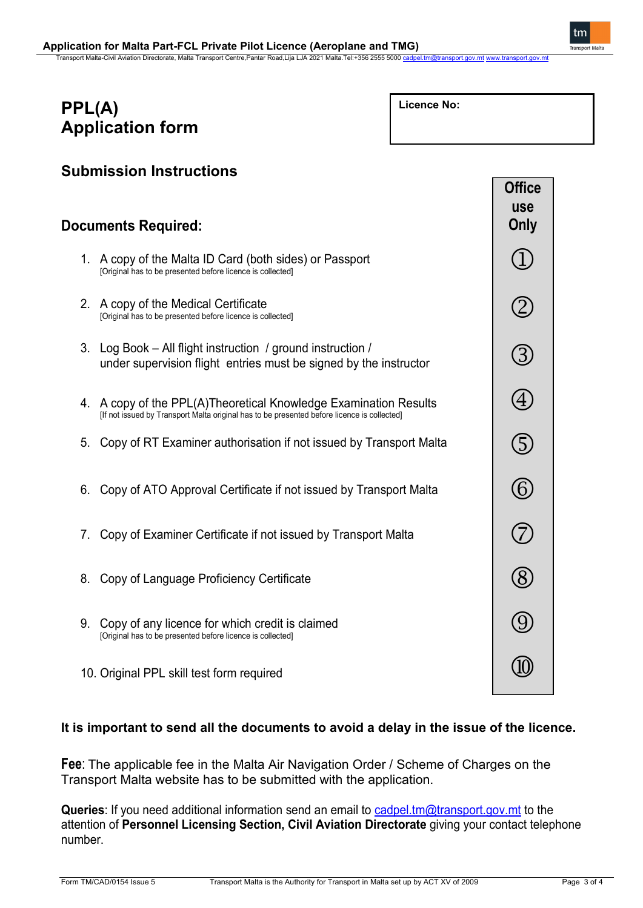Transport Malta-Civil Aviation Directorate, Malta Transport Centre,Pantar Road,Lija LJA 2021 Malta.Tel:+356 2555 5000 g

# **PPL(A) Application form**

**Licence No:** 

| Submission Instructions    |                                                                                                                                                                 |                                     |
|----------------------------|-----------------------------------------------------------------------------------------------------------------------------------------------------------------|-------------------------------------|
| <b>Documents Required:</b> |                                                                                                                                                                 | <b>Office</b><br><b>use</b><br>Only |
|                            | 1. A copy of the Malta ID Card (both sides) or Passport<br>[Original has to be presented before licence is collected]                                           |                                     |
|                            | 2. A copy of the Medical Certificate<br>[Original has to be presented before licence is collected]                                                              | [2]                                 |
|                            | 3. Log Book - All flight instruction / ground instruction /<br>under supervision flight entries must be signed by the instructor                                | 3                                   |
|                            | 4. A copy of the PPL(A)Theoretical Knowledge Examination Results<br>[If not issued by Transport Malta original has to be presented before licence is collected] | $\left( 4\right)$                   |
| 5.                         | Copy of RT Examiner authorisation if not issued by Transport Malta                                                                                              | G                                   |
| 6.                         | Copy of ATO Approval Certificate if not issued by Transport Malta                                                                                               | $\bigcirc$                          |
| 7.                         | Copy of Examiner Certificate if not issued by Transport Malta                                                                                                   | 7                                   |
| 8.                         | Copy of Language Proficiency Certificate                                                                                                                        | $\bigotimes$                        |
| 9.                         | Copy of any licence for which credit is claimed<br>[Original has to be presented before licence is collected]                                                   | [9]                                 |
|                            | 10. Original PPL skill test form required                                                                                                                       |                                     |

# **It is important to send all the documents to avoid a delay in the issue of the licence.**

**Fee**: The applicable fee in the Malta Air Navigation Order / Scheme of Charges on the Transport Malta website has to be submitted with the application.

**Queries**: If you need additional information send an email to [cadpel.tm@transport.gov.mt](mailto:cadpel.tm@transport.gov.mt) to the attention of **Personnel Licensing Section, Civil Aviation Directorate** giving your contact telephone number.